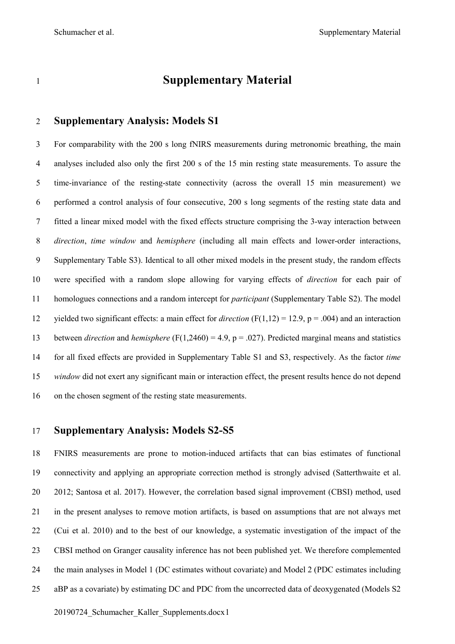# **Supplementary Material**

### **Supplementary Analysis: Models S1**

 For comparability with the 200 s long fNIRS measurements during metronomic breathing, the main analyses included also only the first 200 s of the 15 min resting state measurements. To assure the time-invariance of the resting-state connectivity (across the overall 15 min measurement) we performed a control analysis of four consecutive, 200 s long segments of the resting state data and fitted a linear mixed model with the fixed effects structure comprising the 3-way interaction between *direction*, *time window* and *hemisphere* (including all main effects and lower-order interactions, Supplementary Table S3). Identical to all other mixed models in the present study, the random effects were specified with a random slope allowing for varying effects of *direction* for each pair of homologues connections and a random intercept for *participant* (Supplementary Table S2). The model yielded two significant effects: a main effect for *direction* (F(1,12) = 12.9, p = .004) and an interaction between *direction* and *hemisphere* (F(1,2460) = 4.9, p = .027). Predicted marginal means and statistics for all fixed effects are provided in Supplementary Table S1 and S3, respectively. As the factor *time window* did not exert any significant main or interaction effect, the present results hence do not depend on the chosen segment of the resting state measurements.

#### **Supplementary Analysis: Models S2-S5**

 FNIRS measurements are prone to motion-induced artifacts that can bias estimates of functional connectivity and applying an appropriate correction method is strongly advised (Satterthwaite et al. 2012; Santosa et al. 2017). However, the correlation based signal improvement (CBSI) method, used in the present analyses to remove motion artifacts, is based on assumptions that are not always met (Cui et al. 2010) and to the best of our knowledge, a systematic investigation of the impact of the CBSI method on Granger causality inference has not been published yet. We therefore complemented the main analyses in Model 1 (DC estimates without covariate) and Model 2 (PDC estimates including aBP as a covariate) by estimating DC and PDC from the uncorrected data of deoxygenated (Models S2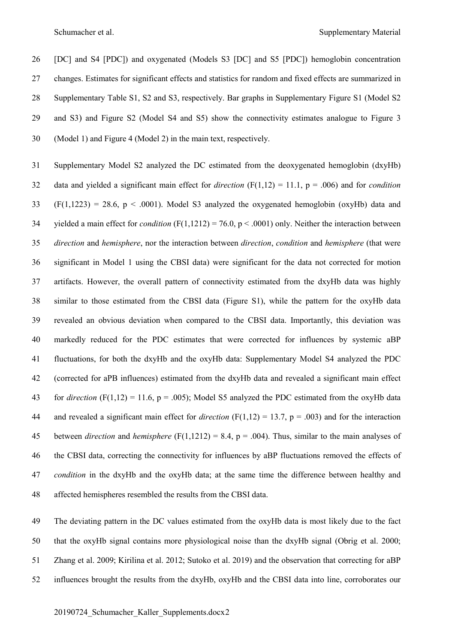Schumacher et al. Supplementary Material

 [DC] and S4 [PDC]) and oxygenated (Models S3 [DC] and S5 [PDC]) hemoglobin concentration changes. Estimates for significant effects and statistics for random and fixed effects are summarized in Supplementary Table S1, S2 and S3, respectively. Bar graphs in Supplementary Figure S1 (Model S2 and S3) and Figure S2 (Model S4 and S5) show the connectivity estimates analogue to Figure 3 (Model 1) and Figure 4 (Model 2) in the main text, respectively.

 Supplementary Model S2 analyzed the DC estimated from the deoxygenated hemoglobin (dxyHb) data and yielded a significant main effect for *direction* (F(1,12) = 11.1, p = .006) and for *condition* (F(1,1223) = 28.6, p < .0001). Model S3 analyzed the oxygenated hemoglobin (oxyHb) data and yielded a main effect for *condition* (F(1,1212) = 76.0, p < .0001) only. Neither the interaction between *direction* and *hemisphere*, nor the interaction between *direction*, *condition* and *hemisphere* (that were significant in Model 1 using the CBSI data) were significant for the data not corrected for motion artifacts. However, the overall pattern of connectivity estimated from the dxyHb data was highly similar to those estimated from the CBSI data (Figure S1), while the pattern for the oxyHb data revealed an obvious deviation when compared to the CBSI data. Importantly, this deviation was markedly reduced for the PDC estimates that were corrected for influences by systemic aBP fluctuations, for both the dxyHb and the oxyHb data: Supplementary Model S4 analyzed the PDC (corrected for aPB influences) estimated from the dxyHb data and revealed a significant main effect 43 for *direction* (F(1,12) = 11.6,  $p = .005$ ); Model S5 analyzed the PDC estimated from the oxyHb data and revealed a significant main effect for *direction* (F(1,12) = 13.7, p = .003) and for the interaction between *direction* and *hemisphere* (F(1,1212) = 8.4, p = .004). Thus, similar to the main analyses of the CBSI data, correcting the connectivity for influences by aBP fluctuations removed the effects of *condition* in the dxyHb and the oxyHb data; at the same time the difference between healthy and affected hemispheres resembled the results from the CBSI data.

 The deviating pattern in the DC values estimated from the oxyHb data is most likely due to the fact that the oxyHb signal contains more physiological noise than the dxyHb signal (Obrig et al. 2000; Zhang et al. 2009; Kirilina et al. 2012; Sutoko et al. 2019) and the observation that correcting for aBP influences brought the results from the dxyHb, oxyHb and the CBSI data into line, corroborates our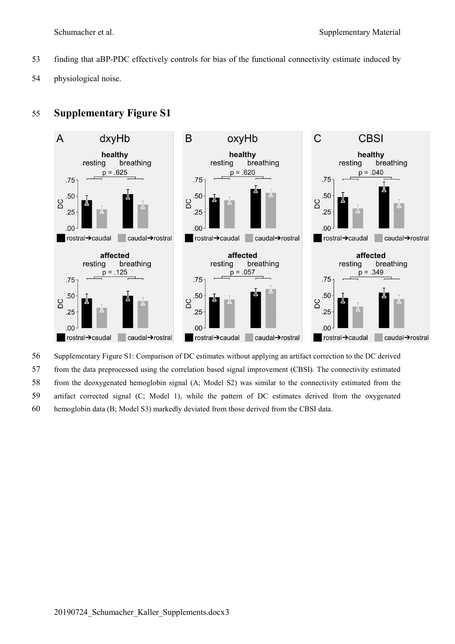- finding that aBP-PDC effectively controls for bias of the functional connectivity estimate induced by
- physiological noise.

# **Supplementary Figure S1**



Supplementary Figure S1: Comparison of DC estimates without applying an artifact correction to the DC derived

from the data preprocessed using the correlation based signal improvement (CBSI). The connectivity estimated

from the deoxygenated hemoglobin signal (A; Model S2) was similar to the connectivity estimated from the

artifact corrected signal (C; Model 1), while the pattern of DC estimates derived from the oxygenated

hemoglobin data (B; Model S3) markedly deviated from those derived from the CBSI data.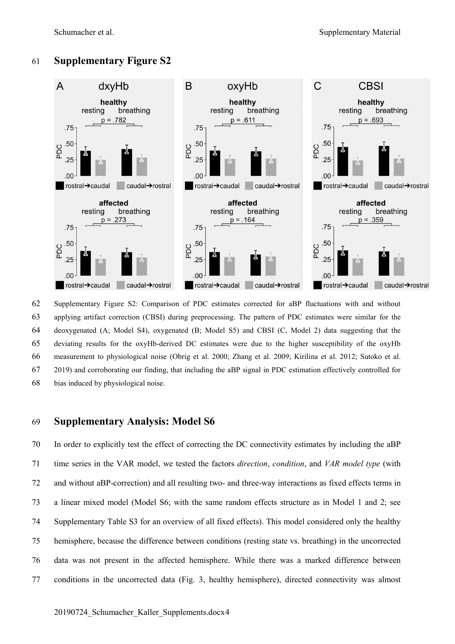# **Supplementary Figure S2**



 Supplementary Figure S2: Comparison of PDC estimates corrected for aBP fluctuations with and without applying artifact correction (CBSI) during preprocessing. The pattern of PDC estimates were similar for the deoxygenated (A; Model S4), oxygenated (B; Model S5) and CBSI (C, Model 2) data suggesting that the deviating results for the oxyHb-derived DC estimates were due to the higher susceptibility of the oxyHb measurement to physiological noise (Obrig et al. 2000; Zhang et al. 2009; Kirilina et al. 2012; Sutoko et al. 2019) and corroborating our finding, that including the aBP signal in PDC estimation effectively controlled for bias induced by physiological noise.

## **Supplementary Analysis: Model S6**

 In order to explicitly test the effect of correcting the DC connectivity estimates by including the aBP time series in the VAR model, we tested the factors *direction*, *condition*, and *VAR model type* (with and without aBP-correction) and all resulting two- and three-way interactions as fixed effects terms in a linear mixed model (Model S6; with the same random effects structure as in Model 1 and 2; see Supplementary Table S3 for an overview of all fixed effects). This model considered only the healthy hemisphere, because the difference between conditions (resting state vs. breathing) in the uncorrected data was not present in the affected hemisphere. While there was a marked difference between conditions in the uncorrected data (Fig. 3, healthy hemisphere), directed connectivity was almost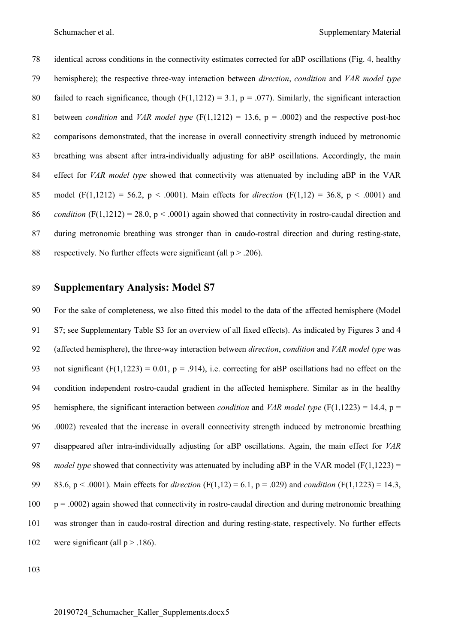identical across conditions in the connectivity estimates corrected for aBP oscillations (Fig. 4, healthy hemisphere); the respective three-way interaction between *direction*, *condition* and *VAR model type*  80 failed to reach significance, though  $(F(1,1212) = 3.1, p = .077)$ . Similarly, the significant interaction 81 between *condition* and *VAR model type* ( $F(1,1212) = 13.6$ ,  $p = .0002$ ) and the respective post-hoc comparisons demonstrated, that the increase in overall connectivity strength induced by metronomic breathing was absent after intra-individually adjusting for aBP oscillations. Accordingly, the main effect for *VAR model type* showed that connectivity was attenuated by including aBP in the VAR 85 model (F(1,1212) = 56.2,  $p < .0001$ ). Main effects for *direction* (F(1,12) = 36.8,  $p < .0001$ ) and *condition* (F(1,1212) = 28.0, p < .0001) again showed that connectivity in rostro-caudal direction and during metronomic breathing was stronger than in caudo-rostral direction and during resting-state, 88 respectively. No further effects were significant (all  $p > .206$ ).

#### **Supplementary Analysis: Model S7**

 For the sake of completeness, we also fitted this model to the data of the affected hemisphere (Model S7; see Supplementary Table S3 for an overview of all fixed effects). As indicated by Figures 3 and 4 (affected hemisphere), the three-way interaction between *direction*, *condition* and *VAR model type* was 93 not significant (F(1,1223) = 0.01, p = .914), i.e. correcting for aBP oscillations had no effect on the condition independent rostro-caudal gradient in the affected hemisphere. Similar as in the healthy hemisphere, the significant interaction between *condition* and *VAR model type* (F(1,1223) = 14.4, p = .0002) revealed that the increase in overall connectivity strength induced by metronomic breathing disappeared after intra-individually adjusting for aBP oscillations. Again, the main effect for *VAR model type* showed that connectivity was attenuated by including aBP in the VAR model ( $F(1,1223) =$  83.6, p < .0001). Main effects for *direction* (F(1,12) = 6.1, p = .029) and *condition* (F(1,1223) = 14.3, p = .0002) again showed that connectivity in rostro-caudal direction and during metronomic breathing was stronger than in caudo-rostral direction and during resting-state, respectively. No further effects 102 were significant (all  $p > .186$ ).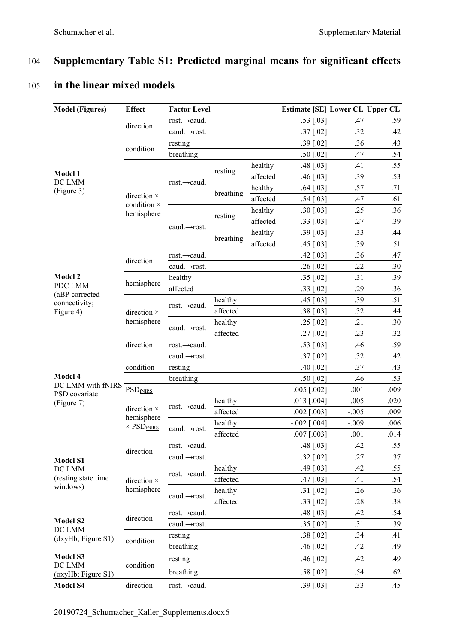# 104 **Supplementary Table S1: Predicted marginal means for significant effects**

#### **Model (Figures) Effect Factor Level Estimate [SE] Lower CL Upper CL Model 1** DC LMM (Figure 3) direction rost.→caud. .53 [.03] .47 .59  $caud.\rightarrow \text{rost.}$  .37 [.02] .32 .42 condition  $\frac{\text{resting}}{1 - 1}$  .39 [.02] .36 .43 breathing .50 [.02] .47 .54 direction × condition × hemisphere rost.→caud. resting  $\frac{\text{healthy}}{\text{scat} + \text{total}}$  .48 [.03] .41 .55 affected .46 [.03] .39 .53 breathing  $\frac{\text{healthy}}{\text{scat} \cdot \text{64} [.03]}$  .57 .71 affected .54 [.03] .47 .61 caud.→rost. resting  $\frac{\text{healthy}}{\text{c} + \frac{1}{2} + \frac{25}{25}}$  .36 affected .33 [.03] .27 .39 breathing  $\frac{\text{healthy}}{\text{scat} + \text{cm}}$  .39 [.03] .33 .44 affected .45 [.03] .39 .51 **Model 2** PDC LMM (aBP corrected connectivity; Figure 4) direction rost. $\rightarrow$ caud.  $.42$  [.03]  $.36$  .47  $caud.\rightarrow \text{rost.}$  .26 [.02] .22 .30 hemisphere  $\frac{\text{healthy}}{\text{cc} + \text{c} + \text{c} + \text{c} + \text{c}}$  .35 [.02] .31 .39 affected .33 [.02] .36 direction × hemisphere rost. $\rightarrow$ caud. healthy .45 [.03] .39 .51 affected .38 [.03] .32 .44 caud.→rost. healthy .25 [.02] .21 .30 affected .27 [.02] .23 .32 **Model 4** DC LMM with fNIRS PSD covariate (Figure 7) direction rost. $\rightarrow$ caud. .53 [.03] .46 .59  $caud.\rightarrow \text{rost.}$  .37  $[.02]$  .32 .42 condition resting .40 [.02] .37 .43 breathing .50 [.02] .46 .53 PSD<sub>fNIRS</sub> .005 [.002] .001 .009 direction × hemisphere  $\times$  PSD<sub>fNIRS</sub>  $\frac{\text{nealthy}}{\text{cost}}$  .0013 [.004] .005 .020 affected .002 [.003] -.005 .009  $\text{caud.} \rightarrow \text{rost.}$  healthy  $-0.002 \begin{bmatrix} 0.004 \end{bmatrix}$   $-0.009$  .006 affected .007 [.003] .001 .014 **Model S1** DC LMM (resting state time windows) direction rost.→caud. .48 [.03] .42 .55  $caud.\rightarrow \text{rost.}$  .32 [.02] .27 .37 direction × hemisphere rost. $\rightarrow$ caud. healthy .49 [.03] .42 .55 affected .47 [.03] .41 .54 caud.→rost. healthy .31 [.02] .26 .36<br>  $\frac{35}{22.5821}$  .28 .36 affected .33 [.02] .28 .38 **Model S2** DC LMM (dxyHb; Figure S1) direction rost.→caud. .54 .48 [.03] .42 .54  $caud.\rightarrow \text{rost.}$  .35 [.02] .31 .39 condition  $\frac{\text{resting}}{1 - 1}$  .38 [.02] .34 .41 breathing .46 [.02] .42 .49 **Model S3** DC LMM (oxyHb; Figure S1) condition  $\frac{\text{resting}}{1.1}$  .45 [.02] .42 .49 breathing .58 [.02] .54 .62 **Model S4** direction rost.→caud. .39 [.03] .33 .45

# 105 **in the linear mixed models**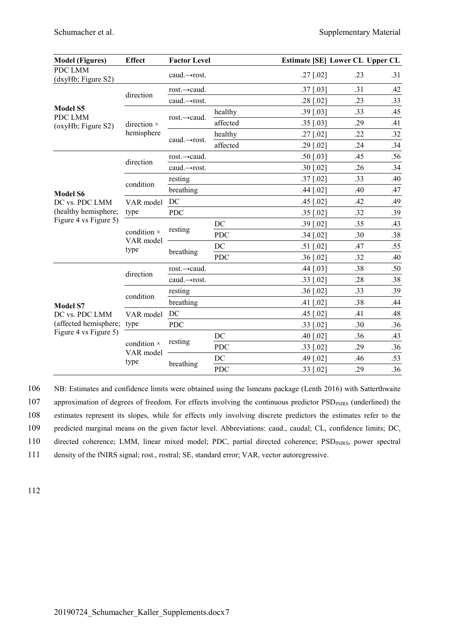| <b>Model (Figures)</b>                                                              | <b>Effect</b>                    | <b>Factor Level</b>       |            | <b>Estimate [SE] Lower CL Upper CL</b> |     |     |
|-------------------------------------------------------------------------------------|----------------------------------|---------------------------|------------|----------------------------------------|-----|-----|
| <b>PDC LMM</b><br>(dxyHb; Figure S2)                                                |                                  | caud. $\rightarrow$ rost. |            | $.27$ [.02]                            | .23 | .31 |
|                                                                                     | direction                        | rost. $\rightarrow$ caud. |            | $.37$ [.03]                            | .31 | .42 |
|                                                                                     |                                  | caud. $\rightarrow$ rost. |            | $.28$ [.02]                            | .23 | .33 |
| <b>Model S5</b><br>PDC LMM                                                          | direction ×<br>hemisphere        | rost. $\rightarrow$ caud. | healthy    | $.39$ [.03]                            | .33 | .45 |
| (oxyHb; Figure S2)                                                                  |                                  |                           | affected   | $.35$ [.03]                            | .29 | .41 |
|                                                                                     |                                  | caud. $\rightarrow$ rost. | healthy    | $.27$ [.02]                            | .22 | .32 |
|                                                                                     |                                  |                           | affected   | $.29$ [.02]                            | .24 | .34 |
|                                                                                     | direction                        | rost. $\rightarrow$ caud. |            | $.50$ [.03]                            | .45 | .56 |
|                                                                                     |                                  | caud. $\rightarrow$ rost. |            | $.30$ [.02]                            | .26 | .34 |
|                                                                                     | condition                        | resting                   |            | $.37$ [.02]                            | .33 | .40 |
| <b>Model S6</b>                                                                     |                                  | breathing                 |            | $.44$ [.02]                            | .40 | .47 |
| DC vs. PDC LMM<br>(healthy hemisphere;<br>Figure 4 vs Figure 5)                     | VAR model                        | DC                        |            | $.45$ [.02]                            | .42 | .49 |
|                                                                                     | type                             | <b>PDC</b>                |            | $.35$ [.02]                            | .32 | .39 |
|                                                                                     | condition ×<br>VAR model<br>type | resting                   | DC         | $.39$ [.02]                            | .35 | .43 |
|                                                                                     |                                  |                           | <b>PDC</b> | $.34$ [.02]                            | .30 | .38 |
|                                                                                     |                                  | breathing                 | DC         | $.51$ [.02]                            | .47 | .55 |
|                                                                                     |                                  |                           | <b>PDC</b> | $.36$ [.02]                            | .32 | .40 |
| <b>Model S7</b><br>DC vs. PDC LMM<br>(affected hemisphere;<br>Figure 4 vs Figure 5) | direction                        | rost. $\rightarrow$ caud. |            | $.44$ [.03]                            | .38 | .50 |
|                                                                                     |                                  | caud.→rost.               |            | $.33$ [.02]                            | .28 | .38 |
|                                                                                     | condition                        | resting                   |            | $.36$ [.02]                            | .33 | .39 |
|                                                                                     |                                  | breathing                 |            | $.41$ [.02]                            | .38 | .44 |
|                                                                                     | VAR model<br>type                | DC                        |            | .45 [.02]                              | .41 | .48 |
|                                                                                     |                                  | <b>PDC</b>                |            | $.33$ [.02]                            | .30 | .36 |
|                                                                                     | condition ×<br>VAR model<br>type | resting                   | DC         | $.40$ [.02]                            | .36 | .43 |
|                                                                                     |                                  |                           | <b>PDC</b> | $.33$ [.02]                            | .29 | .36 |
|                                                                                     |                                  | breathing                 | DC         | .49 [.02]                              | .46 | .53 |
|                                                                                     |                                  |                           | <b>PDC</b> | $.33$ [.02]                            | .29 | .36 |

106 NB: Estimates and confidence limits were obtained using the lsmeans package (Lenth 2016) with Satterthwaite 107 approximation of degrees of freedom. For effects involving the continuous predictor PSD<sub>fNIRS</sub> (underlined) the 108 estimates represent its slopes, while for effects only involving discrete predictors the estimates refer to the

109 predicted marginal means on the given factor level. Abbreviations: caud., caudal; CL, confidence limits; DC,

110 directed coherence; LMM, linear mixed model; PDC, partial directed coherence; PSD<sub>fNIRS</sub>, power spectral

111 density of the fNIRS signal; rost., rostral; SE, standard error; VAR, vector autoregressive.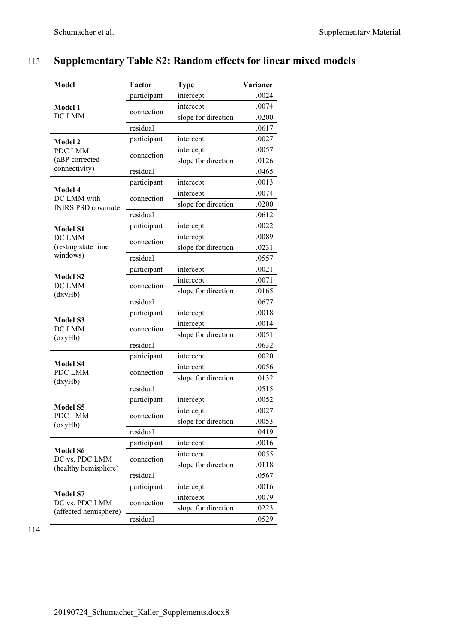# 113 **Supplementary Table S2: Random effects for linear mixed models**

| <b>Model</b>                      | Factor<br><b>Type</b> |                     | Variance |
|-----------------------------------|-----------------------|---------------------|----------|
|                                   | participant           | intercept           | .0024    |
| Model 1                           |                       | intercept           | .0074    |
| DC LMM                            | connection            | slope for direction | .0200    |
|                                   | residual              |                     | .0617    |
| <b>Model 2</b>                    | participant           | intercept           | .0027    |
| PDC LMM                           | connection            | intercept           | .0057    |
| (aBP corrected                    |                       | slope for direction | .0126    |
| connectivity)                     | residual              |                     | .0465    |
|                                   | participant           | intercept           | .0013    |
| Model 4<br>DC LMM with            | connection            | intercept           | .0074    |
| fNIRS PSD covariate               |                       | slope for direction | .0200    |
|                                   | residual              |                     | .0612    |
| <b>Model S1</b>                   | participant           | intercept           | .0022    |
| DC LMM                            | connection            | intercept           | .0089    |
| (resting state time               |                       | slope for direction | .0231    |
| windows)                          | residual              |                     | .0557    |
|                                   | participant           | intercept           | .0021    |
| <b>Model S2</b><br>DC LMM         | connection            | intercept           | .0071    |
| (dxyHb)                           |                       | slope for direction | .0165    |
|                                   | residual              |                     | .0677    |
|                                   | participant           | intercept           | .0018    |
| <b>Model S3</b><br>DC LMM         | connection            | intercept           | .0014    |
| (0xyHb)                           |                       | slope for direction | .0051    |
|                                   | residual              |                     | .0632    |
|                                   | participant           | intercept           |          |
| <b>Model S4</b><br>PDC LMM        | connection            | intercept           | .0056    |
| (dxyHb)                           |                       | slope for direction | .0132    |
|                                   | residual              |                     | .0515    |
|                                   | participant           | intercept           | .0052    |
| <b>Model S5</b><br>PDC LMM        | connection            | intercept           | .0027    |
| (oxyHb)                           |                       | slope for direction | .0053    |
|                                   | residual              |                     | .0419    |
| <b>Model S6</b>                   | participant           | intercept           | .0016    |
| DC vs. PDC LMM                    | connection            | intercept           | .0055    |
| (healthy hemisphere)              |                       | slope for direction | .0118    |
|                                   | residual              |                     | .0567    |
|                                   | participant           | intercept           | .0016    |
| <b>Model S7</b><br>DC vs. PDC LMM | connection            | intercept           | .0079    |
| (affected hemisphere)             |                       | slope for direction | .0223    |
|                                   | residual              |                     | .0529    |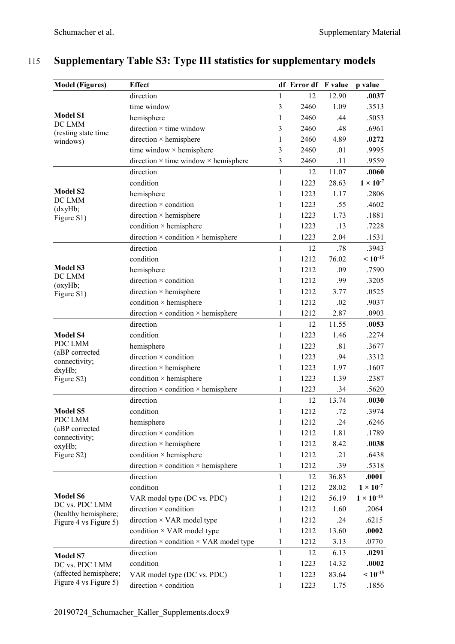| <b>Model (Figures)</b>                                       | <b>Effect</b>                                        |              | df Error df F value |       | p value             |
|--------------------------------------------------------------|------------------------------------------------------|--------------|---------------------|-------|---------------------|
|                                                              | direction                                            | $\mathbf{1}$ | 12                  | 12.90 | .0037               |
| <b>Model S1</b><br>DC LMM<br>(resting state time<br>windows) | time window                                          | 3            | 2460                | 1.09  | .3513               |
|                                                              | hemisphere                                           | 1            | 2460                | .44   | .5053               |
|                                                              | direction $\times$ time window                       | 3            | 2460                | .48   | .6961               |
|                                                              | direction × hemisphere                               | 1            | 2460                | 4.89  | .0272               |
|                                                              | time window × hemisphere                             | 3            | 2460                | .01   | .9995               |
|                                                              | direction $\times$ time window $\times$ hemisphere   | 3            | 2460                | .11   | .9559               |
|                                                              | direction                                            | $\mathbf{1}$ | 12                  | 11.07 | .0060               |
|                                                              | condition                                            | $\mathbf{1}$ | 1223                | 28.63 | $1 \times 10^{-7}$  |
| <b>Model S2</b>                                              | hemisphere                                           | 1            | 1223                | 1.17  | .2806               |
| DC LMM<br>(dxyHb;                                            | direction $\times$ condition                         | 1            | 1223                | .55   | .4602               |
| Figure S1)                                                   | direction $\times$ hemisphere                        | 1            | 1223                | 1.73  | .1881               |
|                                                              | condition × hemisphere                               | 1            | 1223                | .13   | .7228               |
|                                                              | direction $\times$ condition $\times$ hemisphere     | $\mathbf{1}$ | 1223                | 2.04  | .1531               |
|                                                              | direction                                            | $\mathbf{1}$ | 12                  | .78   | .3943               |
|                                                              | condition                                            | 1            | 1212                | 76.02 | $< 10^{-15}$        |
| <b>Model S3</b>                                              | hemisphere                                           | $\mathbf{1}$ | 1212                | .09   | .7590               |
| DC LMM<br>(oxyHb;                                            | direction $\times$ condition                         | 1            | 1212                | .99   | .3205               |
| Figure S1)                                                   | direction × hemisphere                               | 1            | 1212                | 3.77  | .0525               |
|                                                              | condition × hemisphere                               | $\mathbf{1}$ | 1212                | .02   | .9037               |
|                                                              | direction $\times$ condition $\times$ hemisphere     | 1            | 1212                | 2.87  | .0903               |
|                                                              | direction                                            | $\mathbf{1}$ | 12                  | 11.55 | .0053               |
| <b>Model S4</b>                                              | condition                                            | 1            | 1223                | 1.46  | .2274               |
| PDC LMM                                                      | hemisphere                                           | 1            | 1223                | .81   | .3677               |
| (aBP corrected<br>connectivity;                              | direction $\times$ condition                         | $\mathbf{1}$ | 1223                | .94   | .3312               |
| dxyHb;                                                       | direction × hemisphere                               | 1            | 1223                | 1.97  | .1607               |
| Figure S2)                                                   | condition × hemisphere                               | 1            | 1223                | 1.39  | .2387               |
|                                                              | direction $\times$ condition $\times$ hemisphere     | $\mathbf{1}$ | 1223                | .34   | .5620               |
|                                                              | direction                                            | 1            | 12                  | 13.74 | .0030               |
| <b>Model S5</b>                                              | condition                                            | $\mathbf{1}$ | 1212                | .72   | .3974               |
| PDC LMM                                                      | hemisphere                                           | 1            | 1212                | .24   | .6246               |
| (aBP corrected<br>connectivity;                              | direction $\times$ condition                         | 1            | 1212                | 1.81  | .1789               |
| oxyHb;                                                       | direction $\times$ hemisphere                        | 1            | 1212                | 8.42  | .0038               |
| Figure S2)                                                   | condition × hemisphere                               | 1            | 1212                | .21   | .6438               |
|                                                              | direction $\times$ condition $\times$ hemisphere     | 1            | 1212                | .39   | .5318               |
|                                                              | direction                                            | $\mathbf{1}$ | 12                  | 36.83 | .0001               |
|                                                              | condition                                            | 1            | 1212                | 28.02 | $1 \times 10^{-7}$  |
| <b>Model S6</b><br>DC vs. PDC LMM                            | VAR model type (DC vs. PDC)                          | 1            | 1212                | 56.19 | $1 \times 10^{-13}$ |
| (healthy hemisphere;                                         | direction $\times$ condition                         | 1            | 1212                | 1.60  | .2064               |
| Figure 4 vs Figure 5)                                        | direction × VAR model type                           | 1            | 1212                | .24   | .6215               |
|                                                              | condition $\times$ VAR model type                    | 1            | 1212                | 13.60 | .0002               |
|                                                              | direction $\times$ condition $\times$ VAR model type | 1            | 1212                | 3.13  | .0770               |
| <b>Model S7</b>                                              | direction                                            | 1            | 12                  | 6.13  | .0291               |
| DC vs. PDC LMM                                               | condition                                            | $\mathbf{1}$ | 1223                | 14.32 | .0002               |
| (affected hemisphere;                                        | VAR model type (DC vs. PDC)                          | 1            | 1223                | 83.64 | $< 10^{-15}$        |
| Figure 4 vs Figure 5)                                        | direction × condition                                | 1            | 1223                | 1.75  | .1856               |

# 115 **Supplementary Table S3: Type III statistics for supplementary models**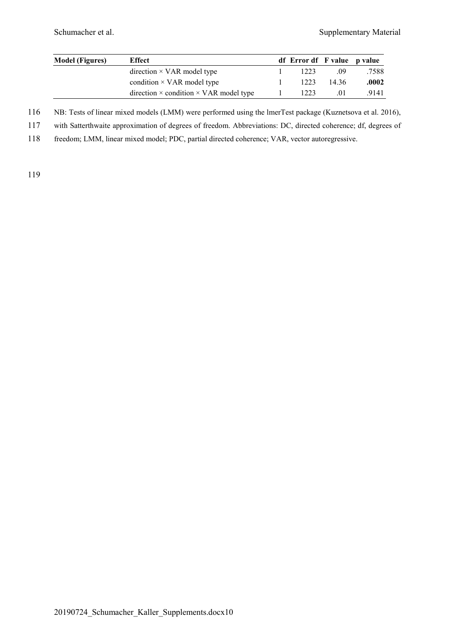| <b>Model</b> (Figures) | Effect                                               | df Error df F value p value |       |       |
|------------------------|------------------------------------------------------|-----------------------------|-------|-------|
|                        | $direction \times VAR$ model type                    | 1223                        | .09   | .7588 |
|                        | condition $\times$ VAR model type                    | 1223                        | 14.36 | .0002 |
|                        | direction $\times$ condition $\times$ VAR model type | 1223                        | .01   | .9141 |

116 NB: Tests of linear mixed models (LMM) were performed using the lmerTest package (Kuznetsova et al. 2016),

117 with Satterthwaite approximation of degrees of freedom. Abbreviations: DC, directed coherence; df, degrees of

118 freedom; LMM, linear mixed model; PDC, partial directed coherence; VAR, vector autoregressive.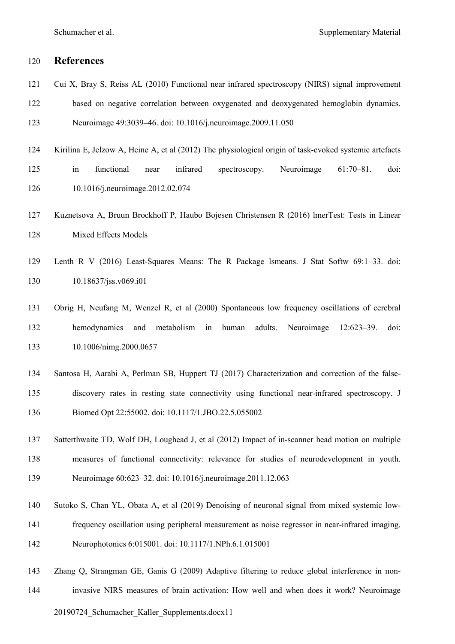# **References**

- Cui X, Bray S, Reiss AL (2010) Functional near infrared spectroscopy (NIRS) signal improvement
- based on negative correlation between oxygenated and deoxygenated hemoglobin dynamics.

Neuroimage 49:3039–46. doi: 10.1016/j.neuroimage.2009.11.050

- Kirilina E, Jelzow A, Heine A, et al (2012) The physiological origin of task-evoked systemic artefacts in functional near infrared spectroscopy. Neuroimage 61:70–81. doi: 10.1016/j.neuroimage.2012.02.074
- Kuznetsova A, Bruun Brockhoff P, Haubo Bojesen Christensen R (2016) lmerTest: Tests in Linear Mixed Effects Models
- Lenth R V (2016) Least-Squares Means: The R Package lsmeans. J Stat Softw 69:1–33. doi: 10.18637/jss.v069.i01
- Obrig H, Neufang M, Wenzel R, et al (2000) Spontaneous low frequency oscillations of cerebral hemodynamics and metabolism in human adults. Neuroimage 12:623–39. doi: 10.1006/nimg.2000.0657
- Santosa H, Aarabi A, Perlman SB, Huppert TJ (2017) Characterization and correction of the false- discovery rates in resting state connectivity using functional near-infrared spectroscopy. J Biomed Opt 22:55002. doi: 10.1117/1.JBO.22.5.055002
- Satterthwaite TD, Wolf DH, Loughead J, et al (2012) Impact of in-scanner head motion on multiple measures of functional connectivity: relevance for studies of neurodevelopment in youth. Neuroimage 60:623–32. doi: 10.1016/j.neuroimage.2011.12.063
- Sutoko S, Chan YL, Obata A, et al (2019) Denoising of neuronal signal from mixed systemic low-
- frequency oscillation using peripheral measurement as noise regressor in near-infrared imaging. Neurophotonics 6:015001. doi: 10.1117/1.NPh.6.1.015001
- Zhang Q, Strangman GE, Ganis G (2009) Adaptive filtering to reduce global interference in non-invasive NIRS measures of brain activation: How well and when does it work? Neuroimage

## 20190724\_Schumacher\_Kaller\_Supplements.docx11